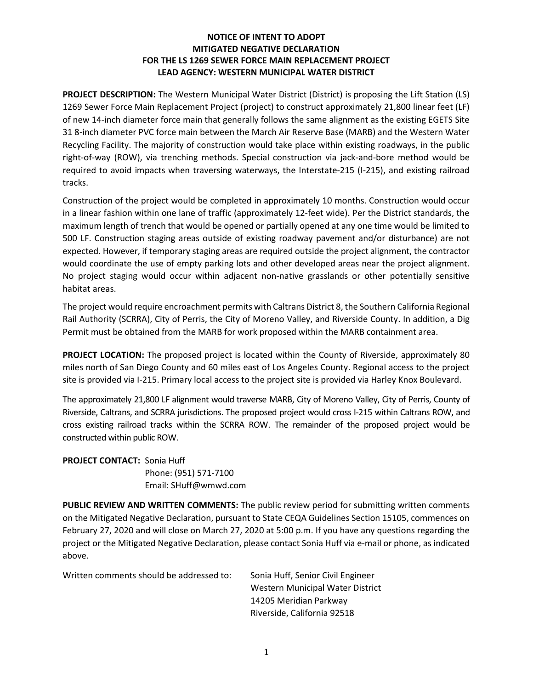## NOTICE OF INTENT TO ADOPT MITIGATED NEGATIVE DECLARATION FOR THE LS 1269 SEWER FORCE MAIN REPLACEMENT PROJECT LEAD AGENCY: WESTERN MUNICIPAL WATER DISTRICT

PROJECT DESCRIPTION: The Western Municipal Water District (District) is proposing the Lift Station (LS) 1269 Sewer Force Main Replacement Project (project) to construct approximately 21,800 linear feet (LF) of new 14-inch diameter force main that generally follows the same alignment as the existing EGETS Site 31 8-inch diameter PVC force main between the March Air Reserve Base (MARB) and the Western Water Recycling Facility. The majority of construction would take place within existing roadways, in the public right-of-way (ROW), via trenching methods. Special construction via jack-and-bore method would be required to avoid impacts when traversing waterways, the Interstate-215 (I-215), and existing railroad tracks.

Construction of the project would be completed in approximately 10 months. Construction would occur in a linear fashion within one lane of traffic (approximately 12-feet wide). Per the District standards, the maximum length of trench that would be opened or partially opened at any one time would be limited to 500 LF. Construction staging areas outside of existing roadway pavement and/or disturbance) are not expected. However, if temporary staging areas are required outside the project alignment, the contractor would coordinate the use of empty parking lots and other developed areas near the project alignment. No project staging would occur within adjacent non-native grasslands or other potentially sensitive habitat areas.

The project would require encroachment permits with Caltrans District 8, the Southern California Regional Rail Authority (SCRRA), City of Perris, the City of Moreno Valley, and Riverside County. In addition, a Dig Permit must be obtained from the MARB for work proposed within the MARB containment area.

PROJECT LOCATION: The proposed project is located within the County of Riverside, approximately 80 miles north of San Diego County and 60 miles east of Los Angeles County. Regional access to the project site is provided via I-215. Primary local access to the project site is provided via Harley Knox Boulevard.

The approximately 21,800 LF alignment would traverse MARB, City of Moreno Valley, City of Perris, County of Riverside, Caltrans, and SCRRA jurisdictions. The proposed project would cross I-215 within Caltrans ROW, and cross existing railroad tracks within the SCRRA ROW. The remainder of the proposed project would be constructed within public ROW.

PROJECT CONTACT: Sonia Huff Phone: (951) 571-7100 Email: SHuff@wmwd.com

PUBLIC REVIEW AND WRITTEN COMMENTS: The public review period for submitting written comments on the Mitigated Negative Declaration, pursuant to State CEQA Guidelines Section 15105, commences on February 27, 2020 and will close on March 27, 2020 at 5:00 p.m. If you have any questions regarding the project or the Mitigated Negative Declaration, please contact Sonia Huff via e-mail or phone, as indicated above.

| Written comments should be addressed to: | Sonia Huff, Senior Civil Engineer |
|------------------------------------------|-----------------------------------|
|                                          | Western Municipal Water District  |
|                                          | 14205 Meridian Parkway            |
|                                          | Riverside, California 92518       |